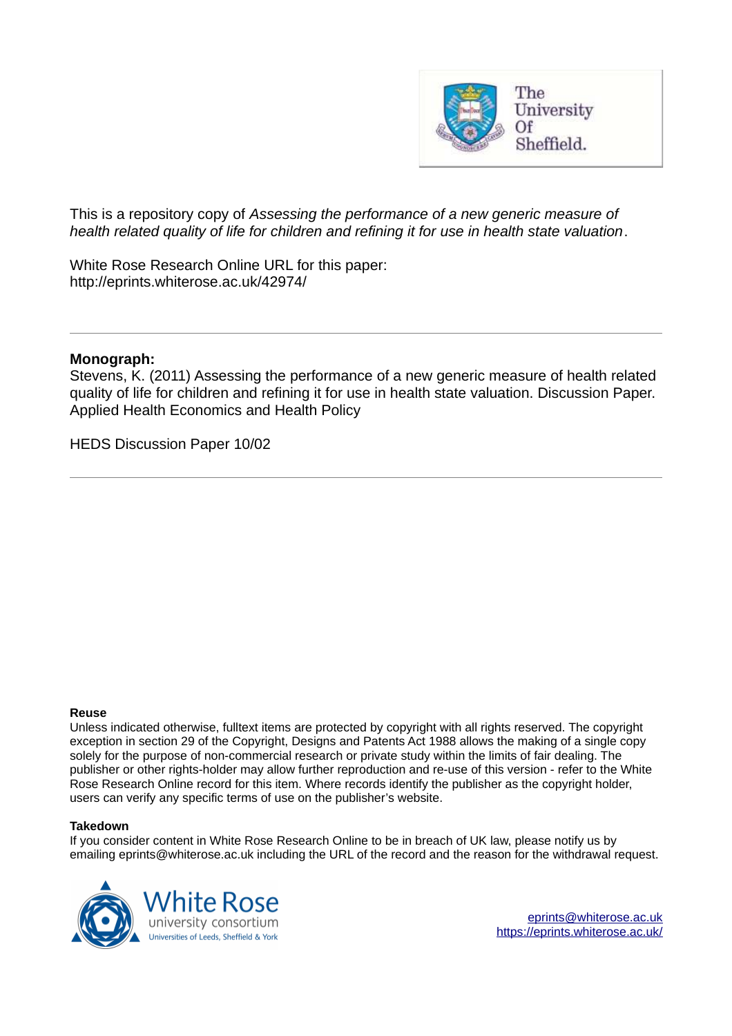

This is a repository copy of *Assessing the performance of a new generic measure of health related quality of life for children and refining it for use in health state valuation*.

White Rose Research Online URL for this paper: http://eprints.whiterose.ac.uk/42974/

#### **Monograph:**

Stevens, K. (2011) Assessing the performance of a new generic measure of health related quality of life for children and refining it for use in health state valuation. Discussion Paper. Applied Health Economics and Health Policy

HEDS Discussion Paper 10/02

#### **Reuse**

Unless indicated otherwise, fulltext items are protected by copyright with all rights reserved. The copyright exception in section 29 of the Copyright, Designs and Patents Act 1988 allows the making of a single copy solely for the purpose of non-commercial research or private study within the limits of fair dealing. The publisher or other rights-holder may allow further reproduction and re-use of this version - refer to the White Rose Research Online record for this item. Where records identify the publisher as the copyright holder, users can verify any specific terms of use on the publisher's website.

#### **Takedown**

If you consider content in White Rose Research Online to be in breach of UK law, please notify us by emailing eprints@whiterose.ac.uk including the URL of the record and the reason for the withdrawal request.

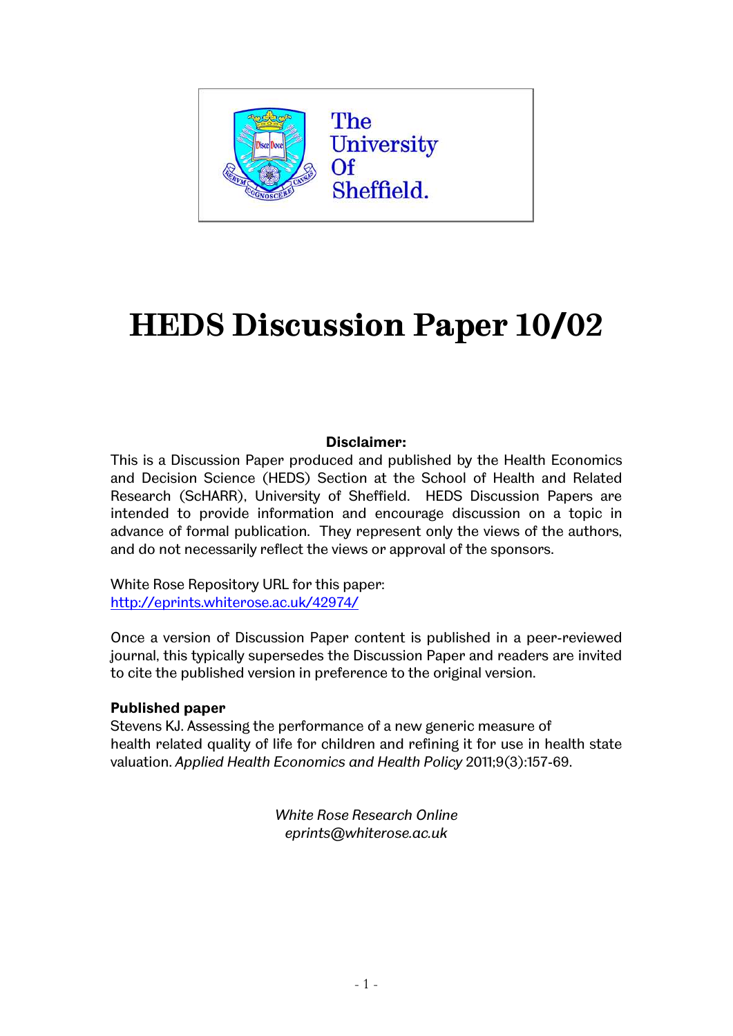

# **HEDS Discussion Paper 10/02**

#### **Disclaimer:**

This is a Discussion Paper produced and published by the Health Economics and Decision Science (HEDS) Section at the School of Health and Related Research (ScHARR), University of Sheffield. HEDS Discussion Papers are intended to provide information and encourage discussion on a topic in advance of formal publication. They represent only the views of the authors, and do not necessarily reflect the views or approval of the sponsors.

White Rose Repository URL for this paper: [http://eprints.whiterose.ac.uk/42974/](http://eprints.whiterose.ac.uk/10875/)

Once a version of Discussion Paper content is published in a peer-reviewed journal, this typically supersedes the Discussion Paper and readers are invited to cite the published version in preference to the original version.

#### **Published paper**

Stevens KJ. Assessing the performance of a new generic measure of health related quality of life for children and refining it for use in health state valuation. *Applied Health Economics and Health Policy* 2011;9(3):157-69.

> *White Rose Research Online eprints@whiterose.ac.uk*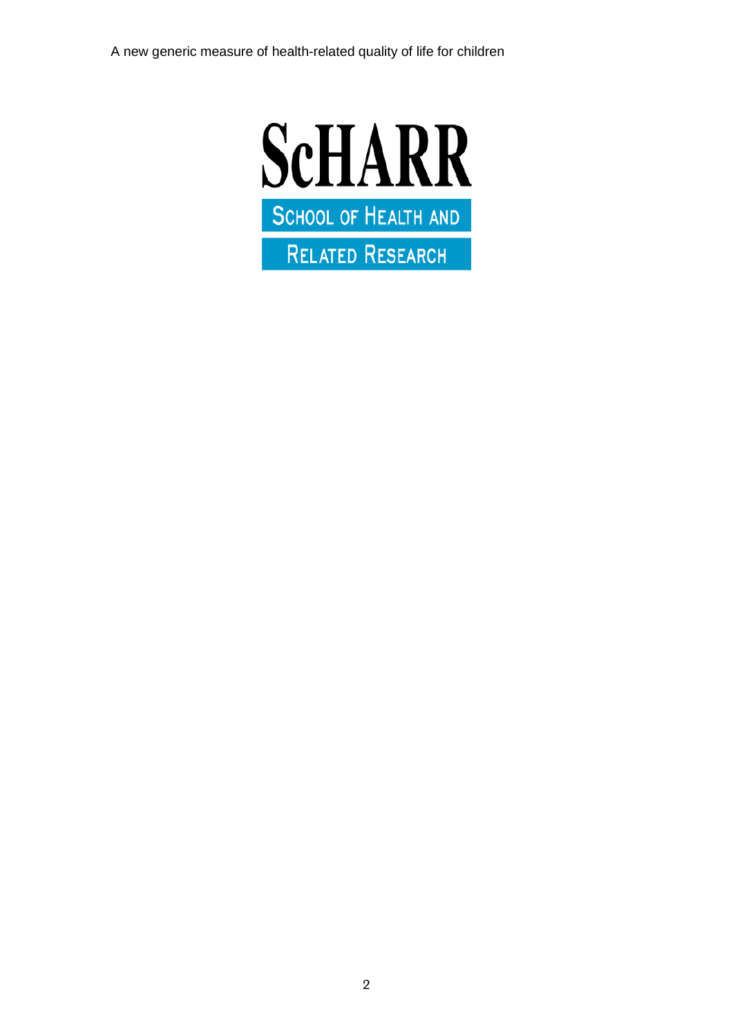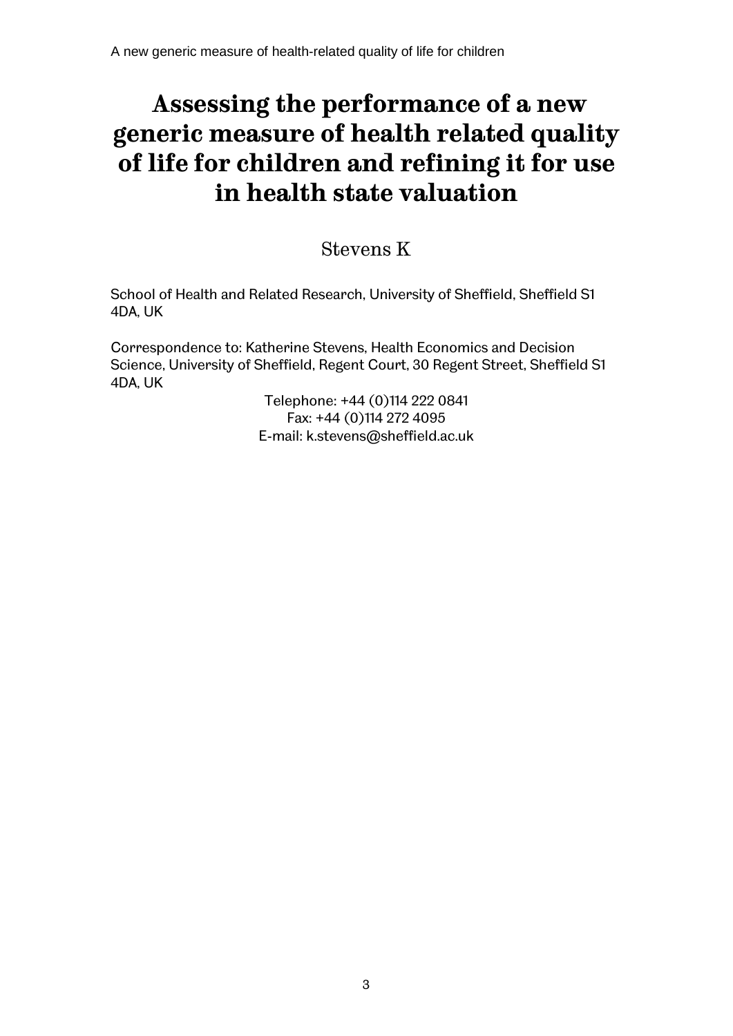# **Assessing the performance of a new generic measure of health related quality of life for children and refining it for use in health state valuation**

# Stevens K

School of Health and Related Research, University of Sheffield, Sheffield S1 4DA, UK

Correspondence to: Katherine Stevens, Health Economics and Decision Science, University of Sheffield, Regent Court, 30 Regent Street, Sheffield S1 4DA, UK

> Telephone: +44 (0)114 222 0841 Fax: +44 (0)114 272 4095 E-mail: k.stevens@sheffield.ac.uk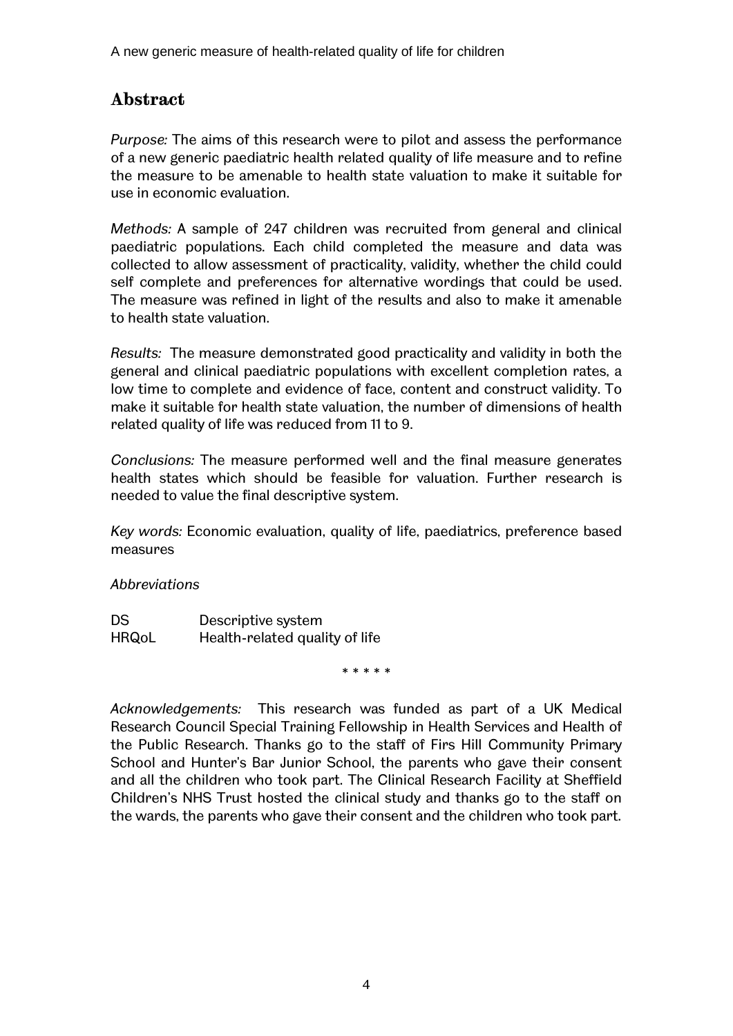# **Abstract**

*Purpose:* The aims of this research were to pilot and assess the performance of a new generic paediatric health related quality of life measure and to refine the measure to be amenable to health state valuation to make it suitable for use in economic evaluation.

*Methods:* A sample of 247 children was recruited from general and clinical paediatric populations. Each child completed the measure and data was collected to allow assessment of practicality, validity, whether the child could self complete and preferences for alternative wordings that could be used. The measure was refined in light of the results and also to make it amenable to health state valuation.

*Results:* The measure demonstrated good practicality and validity in both the general and clinical paediatric populations with excellent completion rates, a low time to complete and evidence of face, content and construct validity. To make it suitable for health state valuation, the number of dimensions of health related quality of life was reduced from 11 to 9.

*Conclusions:* The measure performed well and the final measure generates health states which should be feasible for valuation. Further research is needed to value the final descriptive system.

*Key words:* Economic evaluation, quality of life, paediatrics, preference based measures

#### *Abbreviations*

| <b>DS</b>    | Descriptive system             |
|--------------|--------------------------------|
| <b>HRQoL</b> | Health-related quality of life |

\* \* \* \* \*

*Acknowledgements:* This research was funded as part of a UK Medical Research Council Special Training Fellowship in Health Services and Health of the Public Research. Thanks go to the staff of Firs Hill Community Primary School and Hunter's Bar Junior School, the parents who gave their consent and all the children who took part. The Clinical Research Facility at Sheffield Childrenís NHS Trust hosted the clinical study and thanks go to the staff on the wards, the parents who gave their consent and the children who took part.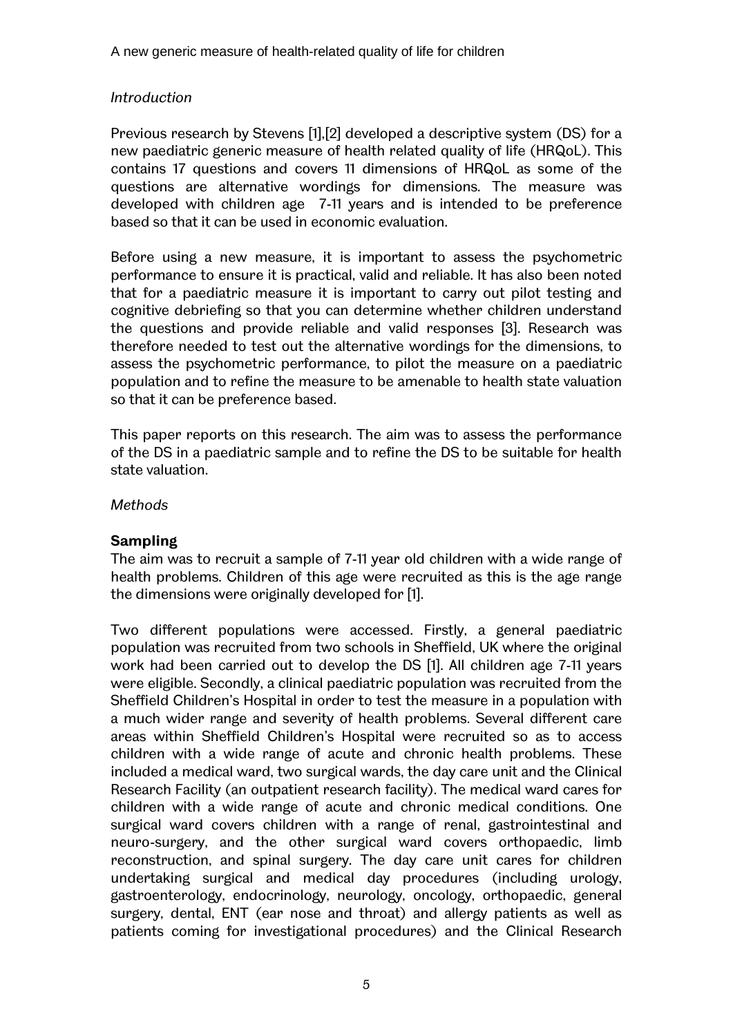#### *Introduction*

Previous research by Stevens [1],[2] developed a descriptive system (DS) for a new paediatric generic measure of health related quality of life (HRQoL). This contains 17 questions and covers 11 dimensions of HRQoL as some of the questions are alternative wordings for dimensions. The measure was developed with children age 7-11 years and is intended to be preference based so that it can be used in economic evaluation.

Before using a new measure, it is important to assess the psychometric performance to ensure it is practical, valid and reliable. It has also been noted that for a paediatric measure it is important to carry out pilot testing and cognitive debriefing so that you can determine whether children understand the questions and provide reliable and valid responses [3]. Research was therefore needed to test out the alternative wordings for the dimensions, to assess the psychometric performance, to pilot the measure on a paediatric population and to refine the measure to be amenable to health state valuation so that it can be preference based.

This paper reports on this research. The aim was to assess the performance of the DS in a paediatric sample and to refine the DS to be suitable for health state valuation.

#### *Methods*

#### **Sampling**

The aim was to recruit a sample of 7-11 year old children with a wide range of health problems. Children of this age were recruited as this is the age range the dimensions were originally developed for [1].

Two different populations were accessed. Firstly, a general paediatric population was recruited from two schools in Sheffield, UK where the original work had been carried out to develop the DS [1]. All children age 7-11 years were eligible. Secondly, a clinical paediatric population was recruited from the Sheffield Childrenís Hospital in order to test the measure in a population with a much wider range and severity of health problems. Several different care areas within Sheffield Childrenís Hospital were recruited so as to access children with a wide range of acute and chronic health problems. These included a medical ward, two surgical wards, the day care unit and the Clinical Research Facility (an outpatient research facility). The medical ward cares for children with a wide range of acute and chronic medical conditions. One surgical ward covers children with a range of renal, gastrointestinal and neuro-surgery, and the other surgical ward covers orthopaedic, limb reconstruction, and spinal surgery. The day care unit cares for children undertaking surgical and medical day procedures (including urology, gastroenterology, endocrinology, neurology, oncology, orthopaedic, general surgery, dental, ENT (ear nose and throat) and allergy patients as well as patients coming for investigational procedures) and the Clinical Research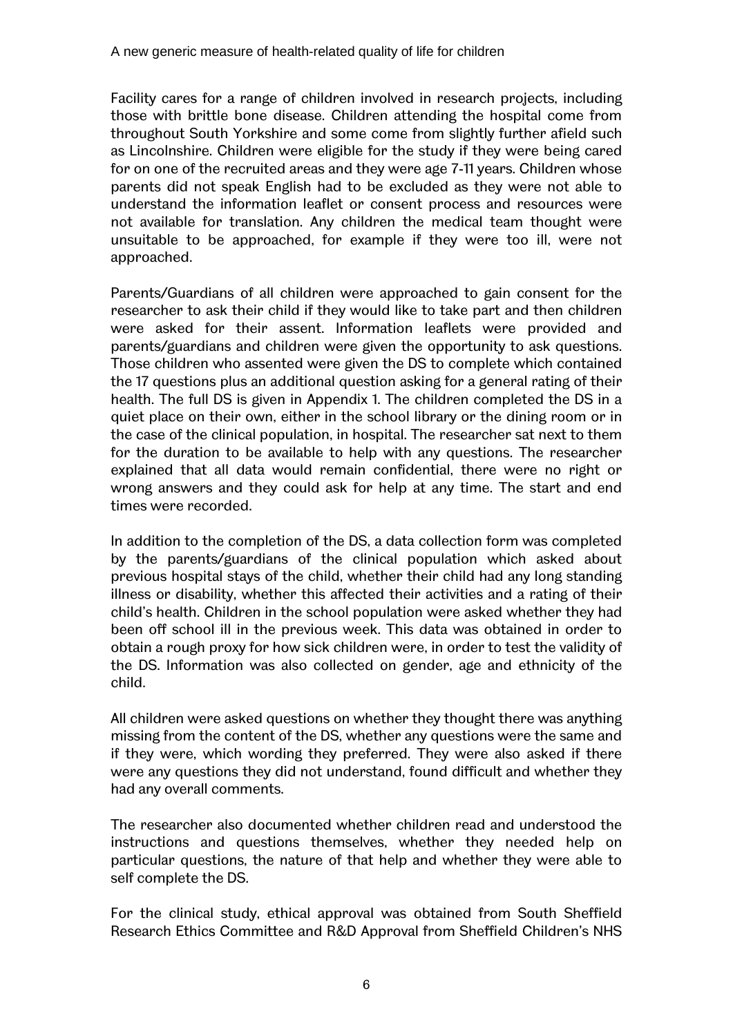Facility cares for a range of children involved in research projects, including those with brittle bone disease. Children attending the hospital come from throughout South Yorkshire and some come from slightly further afield such as Lincolnshire. Children were eligible for the study if they were being cared for on one of the recruited areas and they were age 7-11 years. Children whose parents did not speak English had to be excluded as they were not able to understand the information leaflet or consent process and resources were not available for translation. Any children the medical team thought were unsuitable to be approached, for example if they were too ill, were not approached.

Parents/Guardians of all children were approached to gain consent for the researcher to ask their child if they would like to take part and then children were asked for their assent. Information leaflets were provided and parents/guardians and children were given the opportunity to ask questions. Those children who assented were given the DS to complete which contained the 17 questions plus an additional question asking for a general rating of their health. The full DS is given in Appendix 1. The children completed the DS in a quiet place on their own, either in the school library or the dining room or in the case of the clinical population, in hospital. The researcher sat next to them for the duration to be available to help with any questions. The researcher explained that all data would remain confidential, there were no right or wrong answers and they could ask for help at any time. The start and end times were recorded.

In addition to the completion of the DS, a data collection form was completed by the parents/guardians of the clinical population which asked about previous hospital stays of the child, whether their child had any long standing illness or disability, whether this affected their activities and a rating of their child's health. Children in the school population were asked whether they had been off school ill in the previous week. This data was obtained in order to obtain a rough proxy for how sick children were, in order to test the validity of the DS. Information was also collected on gender, age and ethnicity of the child.

All children were asked questions on whether they thought there was anything missing from the content of the DS, whether any questions were the same and if they were, which wording they preferred. They were also asked if there were any questions they did not understand, found difficult and whether they had any overall comments.

The researcher also documented whether children read and understood the instructions and questions themselves, whether they needed help on particular questions, the nature of that help and whether they were able to self complete the DS.

For the clinical study, ethical approval was obtained from South Sheffield Research Ethics Committee and R&D Approval from Sheffield Childrenís NHS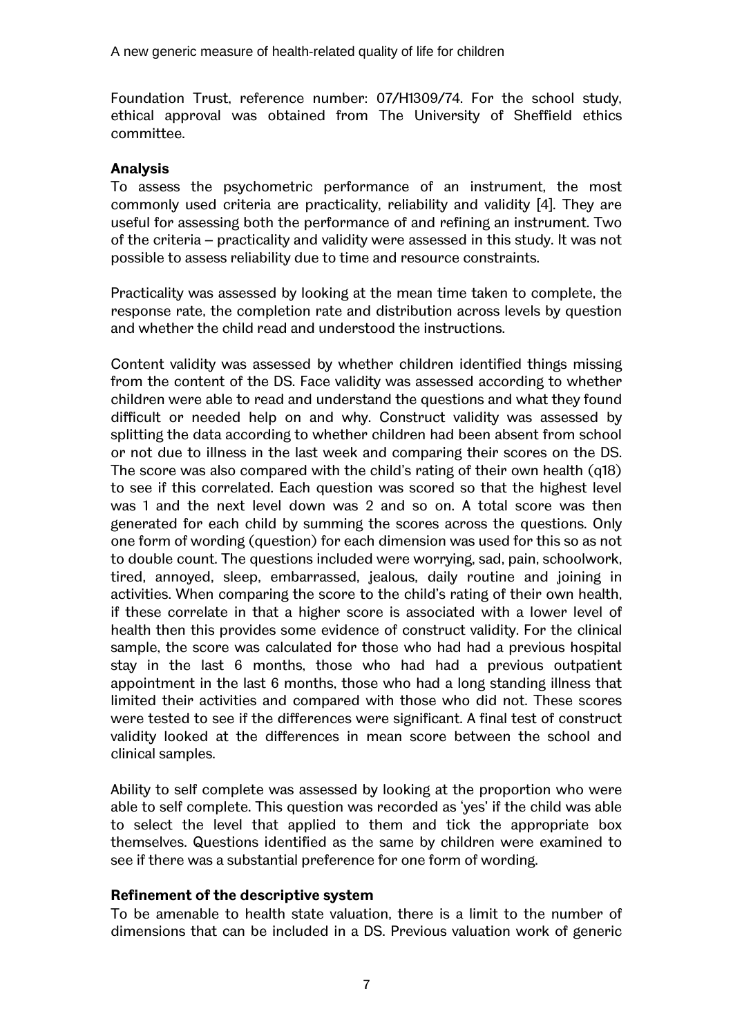Foundation Trust, reference number: 07/H1309/74. For the school study, ethical approval was obtained from The University of Sheffield ethics committee.

#### **Analysis**

To assess the psychometric performance of an instrument, the most commonly used criteria are practicality, reliability and validity [4]. They are useful for assessing both the performance of and refining an instrument. Two of the criteria – practicality and validity were assessed in this study. It was not possible to assess reliability due to time and resource constraints.

Practicality was assessed by looking at the mean time taken to complete, the response rate, the completion rate and distribution across levels by question and whether the child read and understood the instructions.

Content validity was assessed by whether children identified things missing from the content of the DS. Face validity was assessed according to whether children were able to read and understand the questions and what they found difficult or needed help on and why. Construct validity was assessed by splitting the data according to whether children had been absent from school or not due to illness in the last week and comparing their scores on the DS. The score was also compared with the child's rating of their own health (q18) to see if this correlated. Each question was scored so that the highest level was 1 and the next level down was 2 and so on. A total score was then generated for each child by summing the scores across the questions. Only one form of wording (question) for each dimension was used for this so as not to double count. The questions included were worrying, sad, pain, schoolwork, tired, annoyed, sleep, embarrassed, jealous, daily routine and joining in activities. When comparing the score to the child's rating of their own health, if these correlate in that a higher score is associated with a lower level of health then this provides some evidence of construct validity. For the clinical sample, the score was calculated for those who had had a previous hospital stay in the last 6 months, those who had had a previous outpatient appointment in the last 6 months, those who had a long standing illness that limited their activities and compared with those who did not. These scores were tested to see if the differences were significant. A final test of construct validity looked at the differences in mean score between the school and clinical samples.

Ability to self complete was assessed by looking at the proportion who were able to self complete. This question was recorded as 'yes' if the child was able to select the level that applied to them and tick the appropriate box themselves. Questions identified as the same by children were examined to see if there was a substantial preference for one form of wording.

#### **Refinement of the descriptive system**

To be amenable to health state valuation, there is a limit to the number of dimensions that can be included in a DS. Previous valuation work of generic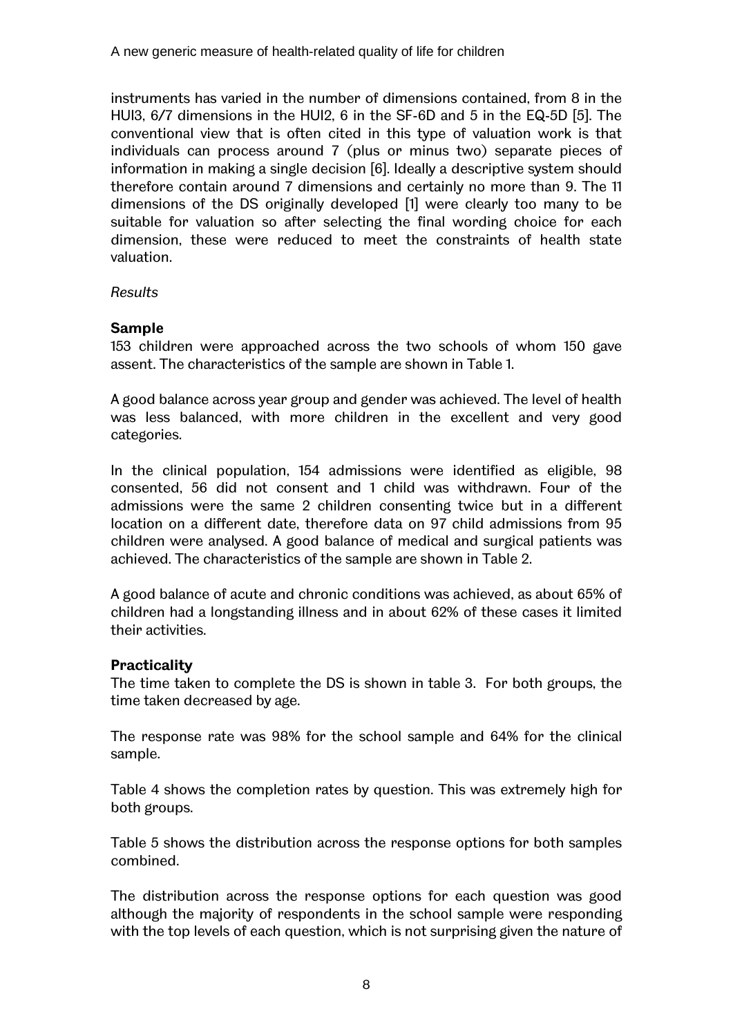instruments has varied in the number of dimensions contained, from 8 in the HUI3, 6/7 dimensions in the HUI2, 6 in the SF-6D and 5 in the EQ-5D [5]. The conventional view that is often cited in this type of valuation work is that individuals can process around 7 (plus or minus two) separate pieces of information in making a single decision [6]. Ideally a descriptive system should therefore contain around 7 dimensions and certainly no more than 9. The 11 dimensions of the DS originally developed [1] were clearly too many to be suitable for valuation so after selecting the final wording choice for each dimension, these were reduced to meet the constraints of health state valuation.

#### *Results*

#### **Sample**

153 children were approached across the two schools of whom 150 gave assent. The characteristics of the sample are shown in Table 1.

A good balance across year group and gender was achieved. The level of health was less balanced, with more children in the excellent and very good categories.

In the clinical population, 154 admissions were identified as eligible, 98 consented, 56 did not consent and 1 child was withdrawn. Four of the admissions were the same 2 children consenting twice but in a different location on a different date, therefore data on 97 child admissions from 95 children were analysed. A good balance of medical and surgical patients was achieved. The characteristics of the sample are shown in Table 2.

A good balance of acute and chronic conditions was achieved, as about 65% of children had a longstanding illness and in about 62% of these cases it limited their activities.

#### **Practicality**

The time taken to complete the DS is shown in table 3. For both groups, the time taken decreased by age.

The response rate was 98% for the school sample and 64% for the clinical sample.

Table 4 shows the completion rates by question. This was extremely high for both groups.

Table 5 shows the distribution across the response options for both samples combined.

The distribution across the response options for each question was good although the majority of respondents in the school sample were responding with the top levels of each question, which is not surprising given the nature of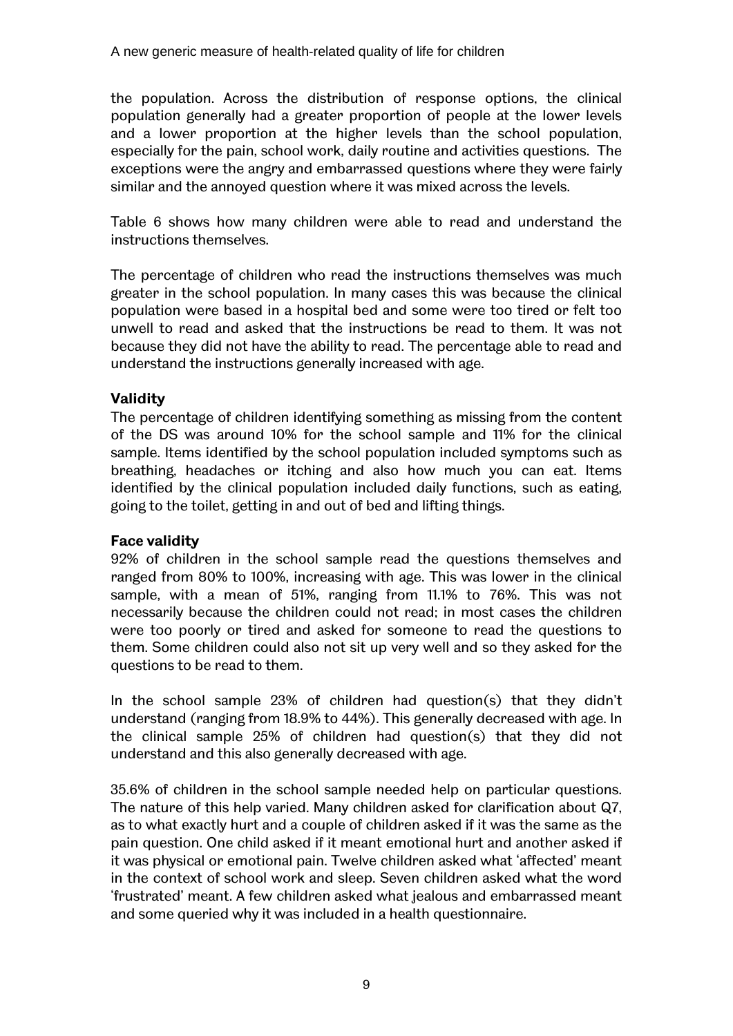the population. Across the distribution of response options, the clinical population generally had a greater proportion of people at the lower levels and a lower proportion at the higher levels than the school population, especially for the pain, school work, daily routine and activities questions. The exceptions were the angry and embarrassed questions where they were fairly similar and the annoyed question where it was mixed across the levels.

Table 6 shows how many children were able to read and understand the instructions themselves.

The percentage of children who read the instructions themselves was much greater in the school population. In many cases this was because the clinical population were based in a hospital bed and some were too tired or felt too unwell to read and asked that the instructions be read to them. It was not because they did not have the ability to read. The percentage able to read and understand the instructions generally increased with age.

#### **Validity**

The percentage of children identifying something as missing from the content of the DS was around 10% for the school sample and 11% for the clinical sample. Items identified by the school population included symptoms such as breathing, headaches or itching and also how much you can eat. Items identified by the clinical population included daily functions, such as eating, going to the toilet, getting in and out of bed and lifting things.

#### **Face validity**

92% of children in the school sample read the questions themselves and ranged from 80% to 100%, increasing with age. This was lower in the clinical sample, with a mean of 51%, ranging from 11.1% to 76%. This was not necessarily because the children could not read; in most cases the children were too poorly or tired and asked for someone to read the questions to them. Some children could also not sit up very well and so they asked for the questions to be read to them.

In the school sample 23% of children had question(s) that they didn't understand (ranging from 18.9% to 44%). This generally decreased with age. In the clinical sample 25% of children had question(s) that they did not understand and this also generally decreased with age.

35.6% of children in the school sample needed help on particular questions. The nature of this help varied. Many children asked for clarification about Q7, as to what exactly hurt and a couple of children asked if it was the same as the pain question. One child asked if it meant emotional hurt and another asked if it was physical or emotional pain. Twelve children asked what 'affected' meant in the context of school work and sleep. Seven children asked what the word frustrated' meant. A few children asked what jealous and embarrassed meant and some queried why it was included in a health questionnaire.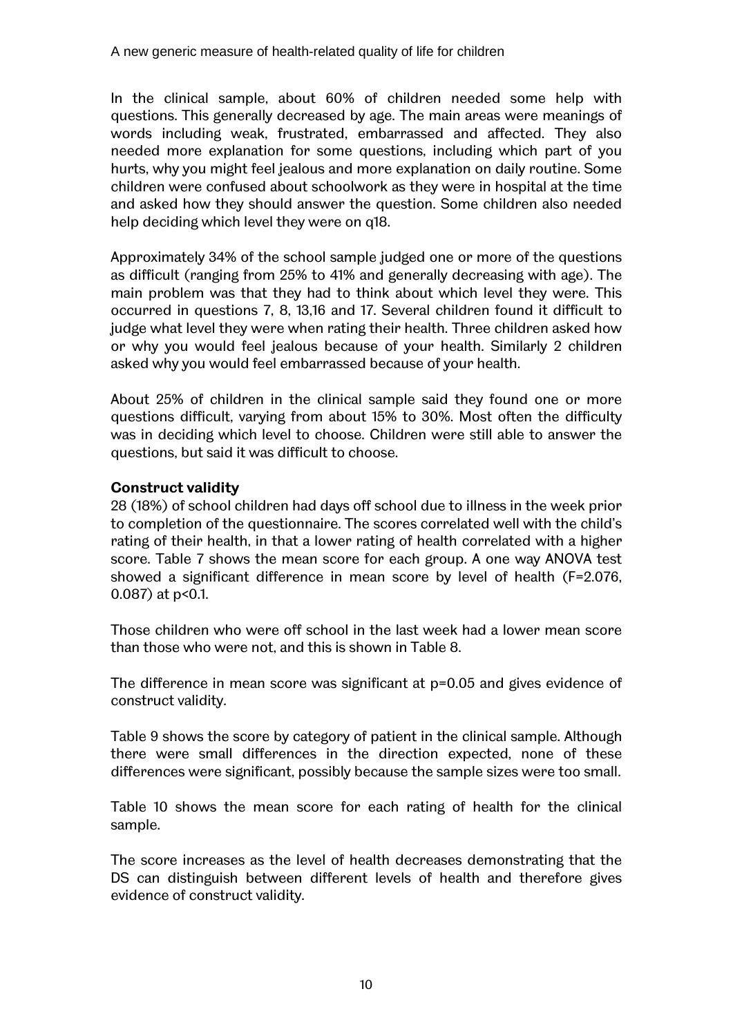In the clinical sample, about 60% of children needed some help with questions. This generally decreased by age. The main areas were meanings of words including weak, frustrated, embarrassed and affected. They also needed more explanation for some questions, including which part of you hurts, why you might feel jealous and more explanation on daily routine. Some children were confused about schoolwork as they were in hospital at the time and asked how they should answer the question. Some children also needed help deciding which level they were on q18.

Approximately 34% of the school sample judged one or more of the questions as difficult (ranging from 25% to 41% and generally decreasing with age). The main problem was that they had to think about which level they were. This occurred in questions 7, 8, 13,16 and 17. Several children found it difficult to judge what level they were when rating their health. Three children asked how or why you would feel jealous because of your health. Similarly 2 children asked why you would feel embarrassed because of your health.

About 25% of children in the clinical sample said they found one or more questions difficult, varying from about 15% to 30%. Most often the difficulty was in deciding which level to choose. Children were still able to answer the questions, but said it was difficult to choose.

#### **Construct validity**

28 (18%) of school children had days off school due to illness in the week prior to completion of the questionnaire. The scores correlated well with the child's rating of their health, in that a lower rating of health correlated with a higher score. Table 7 shows the mean score for each group. A one way ANOVA test showed a significant difference in mean score by level of health (F=2.076, 0.087) at p<0.1.

Those children who were off school in the last week had a lower mean score than those who were not, and this is shown in Table 8.

The difference in mean score was significant at p=0.05 and gives evidence of construct validity.

Table 9 shows the score by category of patient in the clinical sample. Although there were small differences in the direction expected, none of these differences were significant, possibly because the sample sizes were too small.

Table 10 shows the mean score for each rating of health for the clinical sample.

The score increases as the level of health decreases demonstrating that the DS can distinguish between different levels of health and therefore gives evidence of construct validity.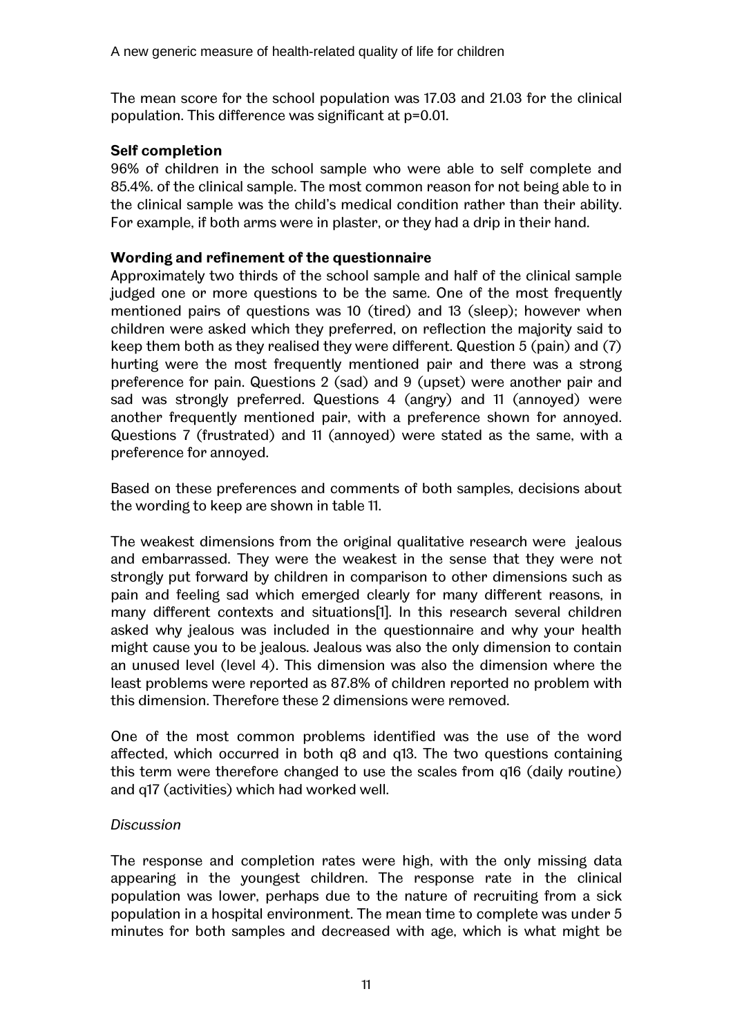The mean score for the school population was 17.03 and 21.03 for the clinical population. This difference was significant at p=0.01.

#### **Self completion**

96% of children in the school sample who were able to self complete and 85.4%. of the clinical sample. The most common reason for not being able to in the clinical sample was the child's medical condition rather than their ability. For example, if both arms were in plaster, or they had a drip in their hand.

#### **Wording and refinement of the questionnaire**

Approximately two thirds of the school sample and half of the clinical sample judged one or more questions to be the same. One of the most frequently mentioned pairs of questions was 10 (tired) and 13 (sleep); however when children were asked which they preferred, on reflection the majority said to keep them both as they realised they were different. Question 5 (pain) and (7) hurting were the most frequently mentioned pair and there was a strong preference for pain. Questions 2 (sad) and 9 (upset) were another pair and sad was strongly preferred. Questions 4 (angry) and 11 (annoyed) were another frequently mentioned pair, with a preference shown for annoyed. Questions 7 (frustrated) and 11 (annoyed) were stated as the same, with a preference for annoyed.

Based on these preferences and comments of both samples, decisions about the wording to keep are shown in table 11.

The weakest dimensions from the original qualitative research were jealous and embarrassed. They were the weakest in the sense that they were not strongly put forward by children in comparison to other dimensions such as pain and feeling sad which emerged clearly for many different reasons, in many different contexts and situations[1]. In this research several children asked why jealous was included in the questionnaire and why your health might cause you to be jealous. Jealous was also the only dimension to contain an unused level (level 4). This dimension was also the dimension where the least problems were reported as 87.8% of children reported no problem with this dimension. Therefore these 2 dimensions were removed.

One of the most common problems identified was the use of the word affected, which occurred in both q8 and q13. The two questions containing this term were therefore changed to use the scales from q16 (daily routine) and q17 (activities) which had worked well.

#### *Discussion*

The response and completion rates were high, with the only missing data appearing in the youngest children. The response rate in the clinical population was lower, perhaps due to the nature of recruiting from a sick population in a hospital environment. The mean time to complete was under 5 minutes for both samples and decreased with age, which is what might be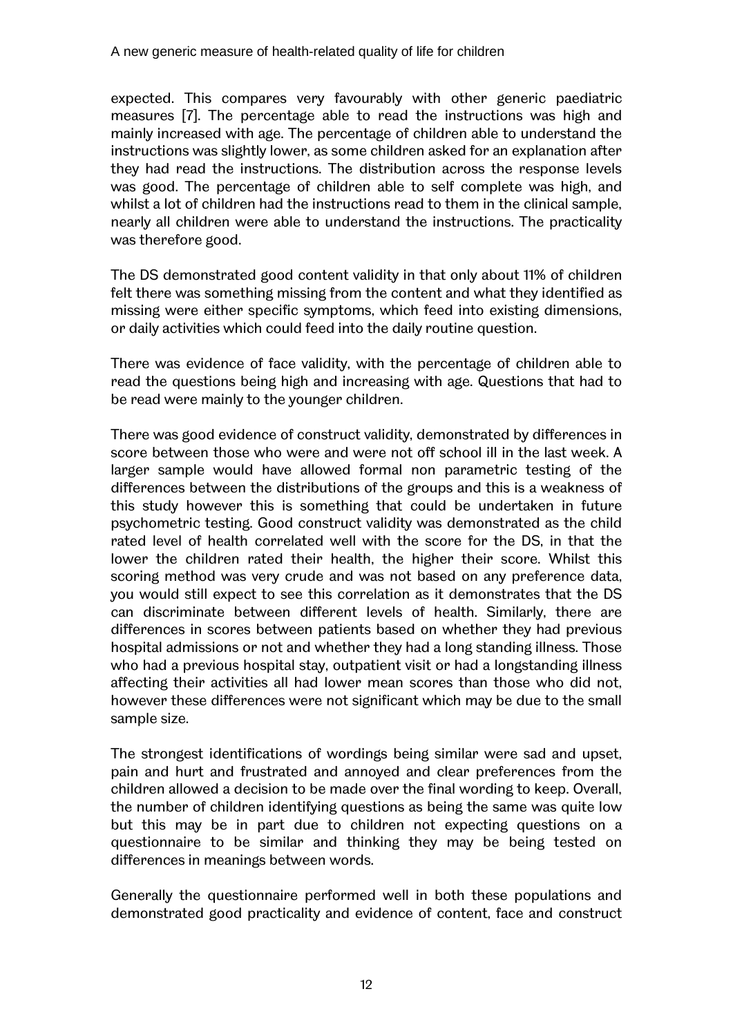expected. This compares very favourably with other generic paediatric measures [7]. The percentage able to read the instructions was high and mainly increased with age. The percentage of children able to understand the instructions was slightly lower, as some children asked for an explanation after they had read the instructions. The distribution across the response levels was good. The percentage of children able to self complete was high, and whilst a lot of children had the instructions read to them in the clinical sample, nearly all children were able to understand the instructions. The practicality was therefore good.

The DS demonstrated good content validity in that only about 11% of children felt there was something missing from the content and what they identified as missing were either specific symptoms, which feed into existing dimensions, or daily activities which could feed into the daily routine question.

There was evidence of face validity, with the percentage of children able to read the questions being high and increasing with age. Questions that had to be read were mainly to the younger children.

There was good evidence of construct validity, demonstrated by differences in score between those who were and were not off school ill in the last week. A larger sample would have allowed formal non parametric testing of the differences between the distributions of the groups and this is a weakness of this study however this is something that could be undertaken in future psychometric testing. Good construct validity was demonstrated as the child rated level of health correlated well with the score for the DS, in that the lower the children rated their health, the higher their score. Whilst this scoring method was very crude and was not based on any preference data, you would still expect to see this correlation as it demonstrates that the DS can discriminate between different levels of health. Similarly, there are differences in scores between patients based on whether they had previous hospital admissions or not and whether they had a long standing illness. Those who had a previous hospital stay, outpatient visit or had a longstanding illness affecting their activities all had lower mean scores than those who did not, however these differences were not significant which may be due to the small sample size.

The strongest identifications of wordings being similar were sad and upset, pain and hurt and frustrated and annoyed and clear preferences from the children allowed a decision to be made over the final wording to keep. Overall, the number of children identifying questions as being the same was quite low but this may be in part due to children not expecting questions on a questionnaire to be similar and thinking they may be being tested on differences in meanings between words.

Generally the questionnaire performed well in both these populations and demonstrated good practicality and evidence of content, face and construct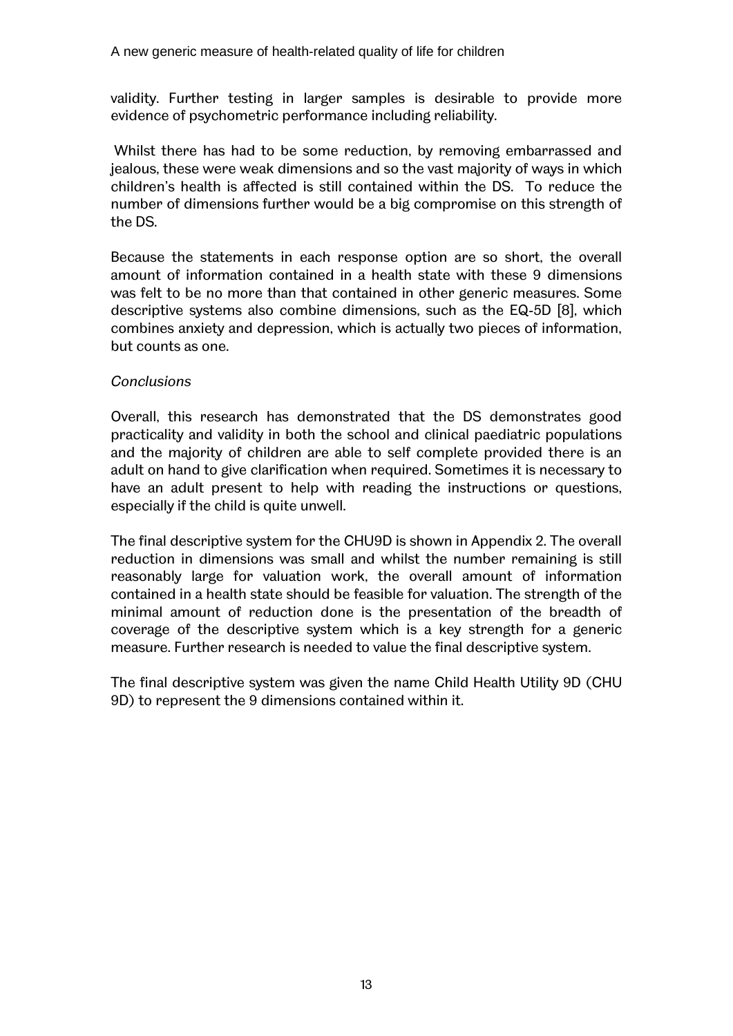validity. Further testing in larger samples is desirable to provide more evidence of psychometric performance including reliability.

Whilst there has had to be some reduction, by removing embarrassed and jealous, these were weak dimensions and so the vast majority of ways in which childrenís health is affected is still contained within the DS. To reduce the number of dimensions further would be a big compromise on this strength of the DS.

Because the statements in each response option are so short, the overall amount of information contained in a health state with these 9 dimensions was felt to be no more than that contained in other generic measures. Some descriptive systems also combine dimensions, such as the EQ-5D [8], which combines anxiety and depression, which is actually two pieces of information, but counts as one.

#### *Conclusions*

Overall, this research has demonstrated that the DS demonstrates good practicality and validity in both the school and clinical paediatric populations and the majority of children are able to self complete provided there is an adult on hand to give clarification when required. Sometimes it is necessary to have an adult present to help with reading the instructions or questions, especially if the child is quite unwell.

The final descriptive system for the CHU9D is shown in Appendix 2. The overall reduction in dimensions was small and whilst the number remaining is still reasonably large for valuation work, the overall amount of information contained in a health state should be feasible for valuation. The strength of the minimal amount of reduction done is the presentation of the breadth of coverage of the descriptive system which is a key strength for a generic measure. Further research is needed to value the final descriptive system.

The final descriptive system was given the name Child Health Utility 9D (CHU 9D) to represent the 9 dimensions contained within it.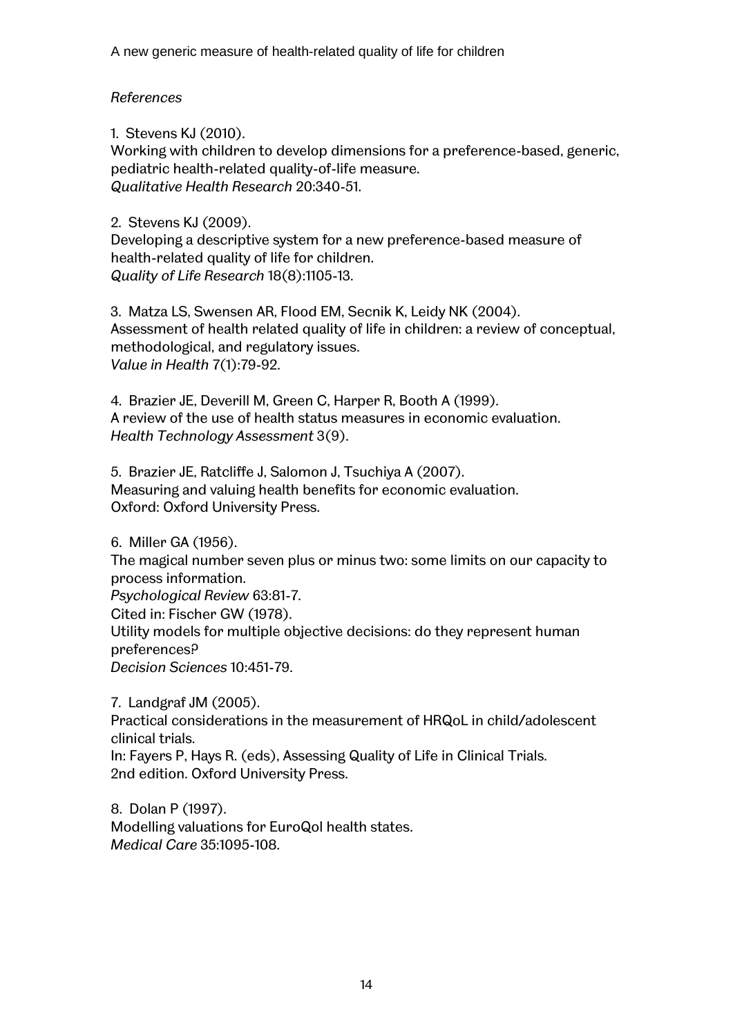#### *References*

1. Stevens KJ (2010).

Working with children to develop dimensions for a preference-based, generic, pediatric health-related quality-of-life measure. *Qualitative Health Research* 20:340-51.

2. Stevens KJ (2009).

Developing a descriptive system for a new preference-based measure of health-related quality of life for children. *Quality of Life Research* 18(8):1105-13.

3. Matza LS, Swensen AR, Flood EM, Secnik K, Leidy NK (2004). Assessment of health related quality of life in children: a review of conceptual, methodological, and regulatory issues. *Value in Health* 7(1):79-92.

4. Brazier JE, Deverill M, Green C, Harper R, Booth A (1999). A review of the use of health status measures in economic evaluation. *Health Technology Assessment* 3(9).

5. Brazier JE, Ratcliffe J, Salomon J, Tsuchiya A (2007). Measuring and valuing health benefits for economic evaluation. Oxford: Oxford University Press.

6. Miller GA (1956). The magical number seven plus or minus two: some limits on our capacity to process information. *Psychological Review* 63:81-7. Cited in: Fischer GW (1978). Utility models for multiple objective decisions: do they represent human preferences? *Decision Sciences* 10:451-79.

7. Landgraf JM (2005).

Practical considerations in the measurement of HRQoL in child/adolescent clinical trials.

In: Fayers P, Hays R. (eds), Assessing Quality of Life in Clinical Trials. 2nd edition. Oxford University Press.

8. Dolan P (1997). Modelling valuations for EuroQol health states. *Medical Care* 35:1095-108.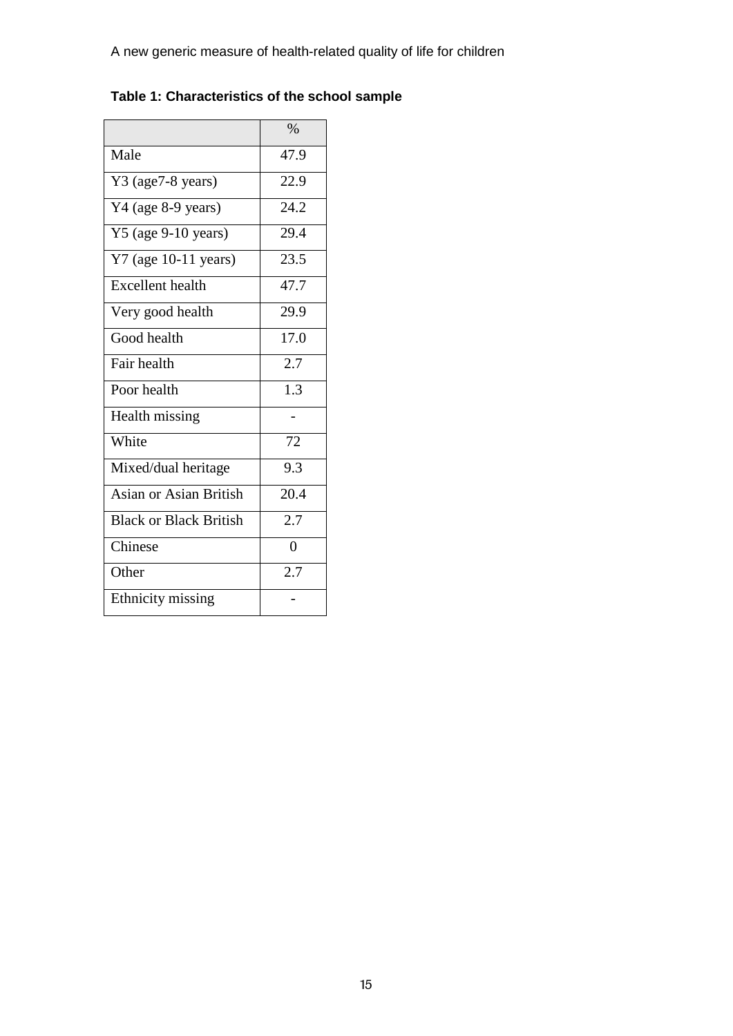|  | Table 1: Characteristics of the school sample |  |  |  |
|--|-----------------------------------------------|--|--|--|
|--|-----------------------------------------------|--|--|--|

|                               | $\%$             |
|-------------------------------|------------------|
| Male                          | 47.9             |
| Y3 (age7-8 years)             | 22.9             |
| Y4 (age 8-9 years)            | 24.2             |
| Y5 (age 9-10 years)           | 29.4             |
| $Y7$ (age 10-11 years)        | 23.5             |
| <b>Excellent</b> health       | 47.7             |
| Very good health              | 29.9             |
| Good health                   | 17.0             |
| Fair health                   | 2.7              |
| Poor health                   | $\overline{1.3}$ |
| Health missing                |                  |
| White                         | 72               |
| Mixed/dual heritage           | $\overline{9.3}$ |
| <b>Asian or Asian British</b> | 20.4             |
| <b>Black or Black British</b> | $\overline{2.7}$ |
| Chinese                       | $\overline{0}$   |
| Other                         | 2.7              |
| <b>Ethnicity</b> missing      |                  |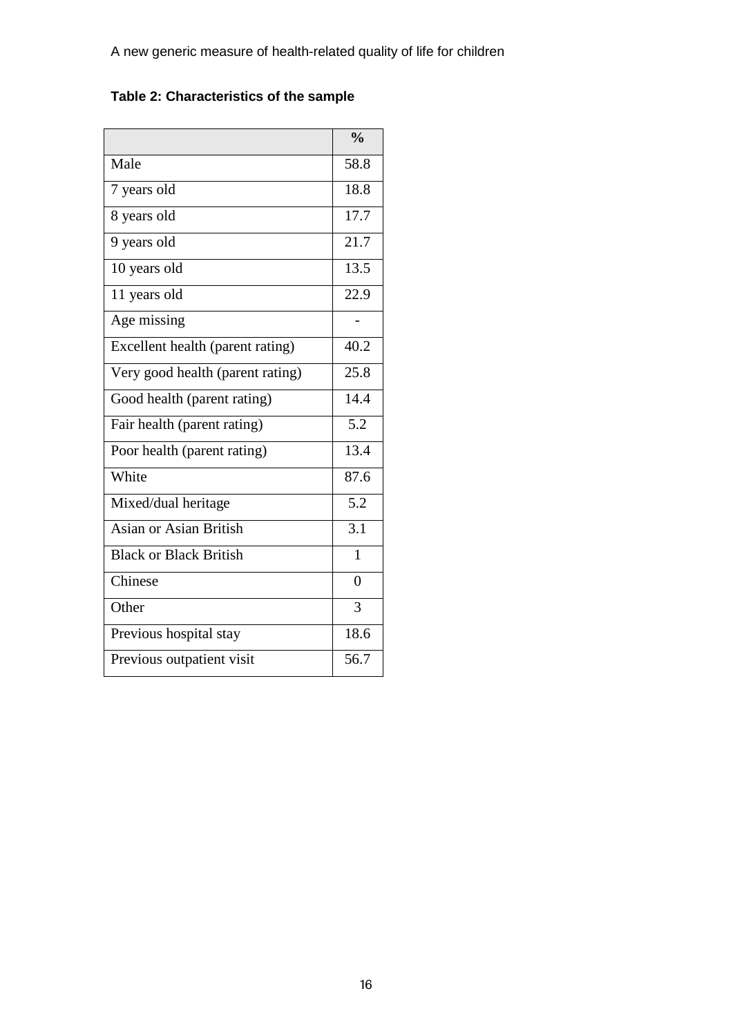# **Table 2: Characteristics of the sample**

|                                  | $\frac{0}{0}$    |
|----------------------------------|------------------|
| Male                             | 58.8             |
| 7 years old                      | 18.8             |
| 8 years old                      | 17.7             |
| 9 years old                      | 21.7             |
| 10 years old                     | 13.5             |
| 11 years old                     | 22.9             |
| Age missing                      |                  |
| Excellent health (parent rating) | 40.2             |
| Very good health (parent rating) | 25.8             |
| Good health (parent rating)      | 14.4             |
| Fair health (parent rating)      | 5.2              |
| Poor health (parent rating)      | 13.4             |
| White                            | 87.6             |
| Mixed/dual heritage              | 5.2              |
| Asian or Asian British           | $\overline{3.1}$ |
| <b>Black or Black British</b>    | $\mathbf{1}$     |
| Chinese                          | $\theta$         |
| Other                            | 3                |
| Previous hospital stay           | 18.6             |
| Previous outpatient visit        | 56.7             |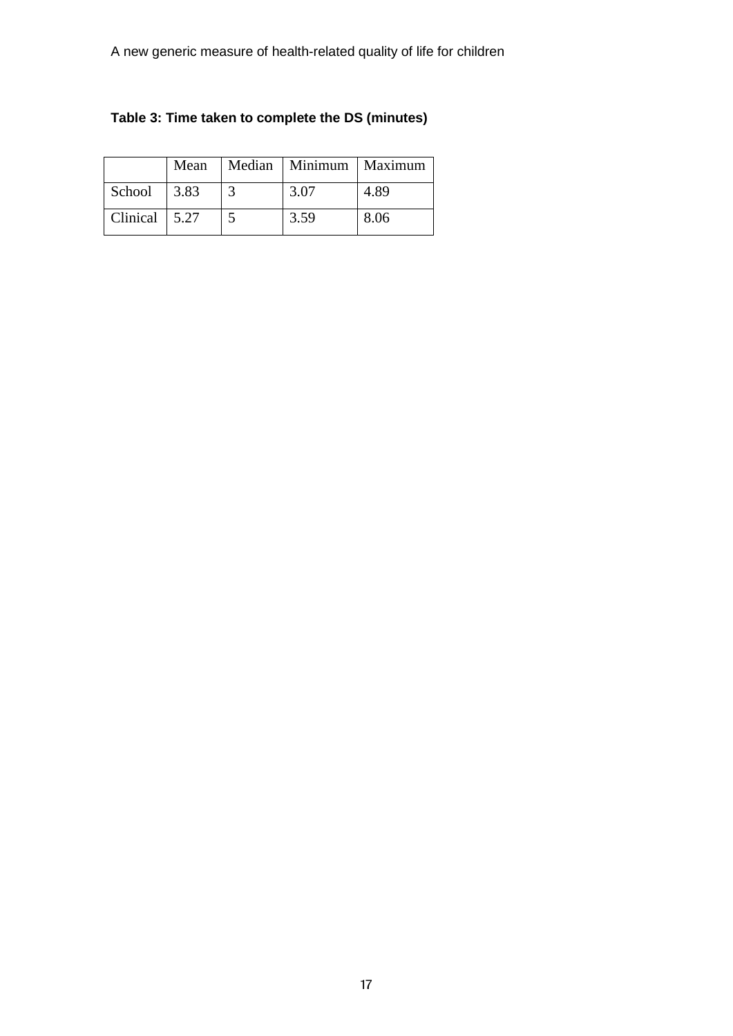|                       | Mean | Median   Minimum   Maximum |      |
|-----------------------|------|----------------------------|------|
| School                | 3.83 | 3.07                       | 4.89 |
| Clinical $\vert$ 5.27 |      | 3.59                       | 8.06 |

# **Table 3: Time taken to complete the DS (minutes)**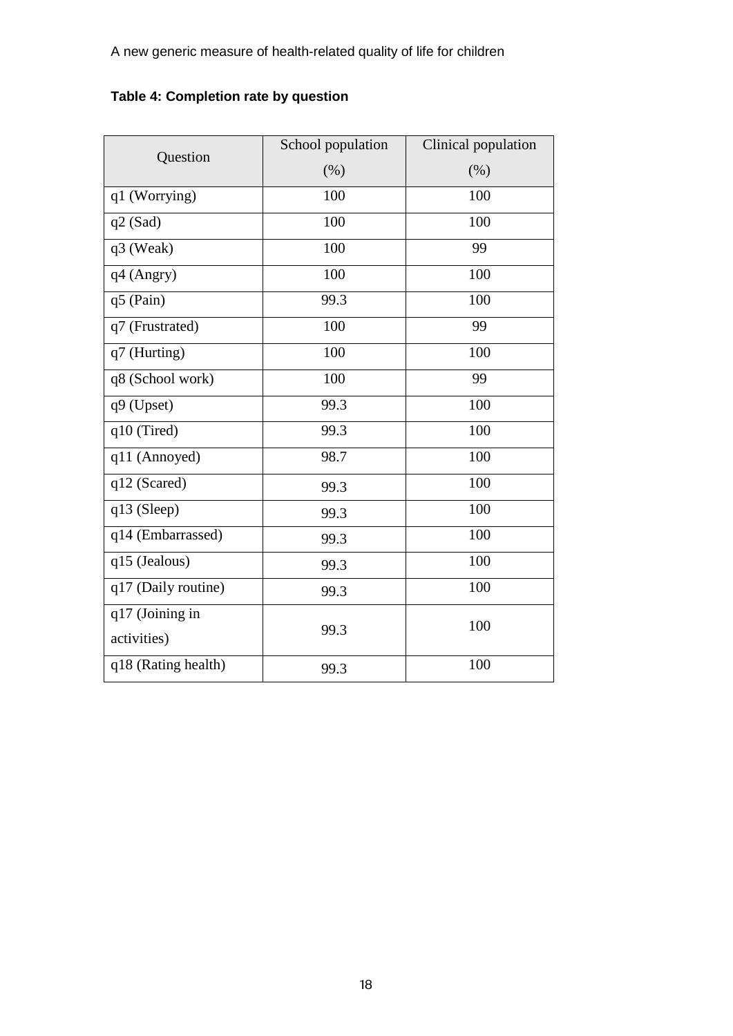|  | Table 4: Completion rate by question |  |  |
|--|--------------------------------------|--|--|
|--|--------------------------------------|--|--|

| Question            | School population | Clinical population |  |  |
|---------------------|-------------------|---------------------|--|--|
|                     | (% )              | $(\%)$              |  |  |
| q1 (Worrying)       | 100               | 100                 |  |  |
| $q2$ (Sad)          | 100               | 100                 |  |  |
| q3 (Weak)           | 100               | 99                  |  |  |
| q4 (Angry)          | 100               | 100                 |  |  |
| q5 (Pain)           | 99.3              | 100                 |  |  |
| q7 (Frustrated)     | 100               | 99                  |  |  |
| q7 (Hurting)        | 100               | 100                 |  |  |
| q8 (School work)    | 100               | 99                  |  |  |
| q9 (Upset)          | 99.3              | 100                 |  |  |
| q10 (Tired)         | 99.3              | 100                 |  |  |
| q11 (Annoyed)       | 98.7              | 100                 |  |  |
| q12 (Scared)        | 99.3              | 100                 |  |  |
| q13 (Sleep)         | 99.3              | 100                 |  |  |
| q14 (Embarrassed)   | 99.3              | 100                 |  |  |
| q15 (Jealous)       | 99.3              | 100                 |  |  |
| q17 (Daily routine) | 99.3              | 100                 |  |  |
| q17 (Joining in     |                   | 100                 |  |  |
| activities)         | 99.3              |                     |  |  |
| q18 (Rating health) | 99.3              | 100                 |  |  |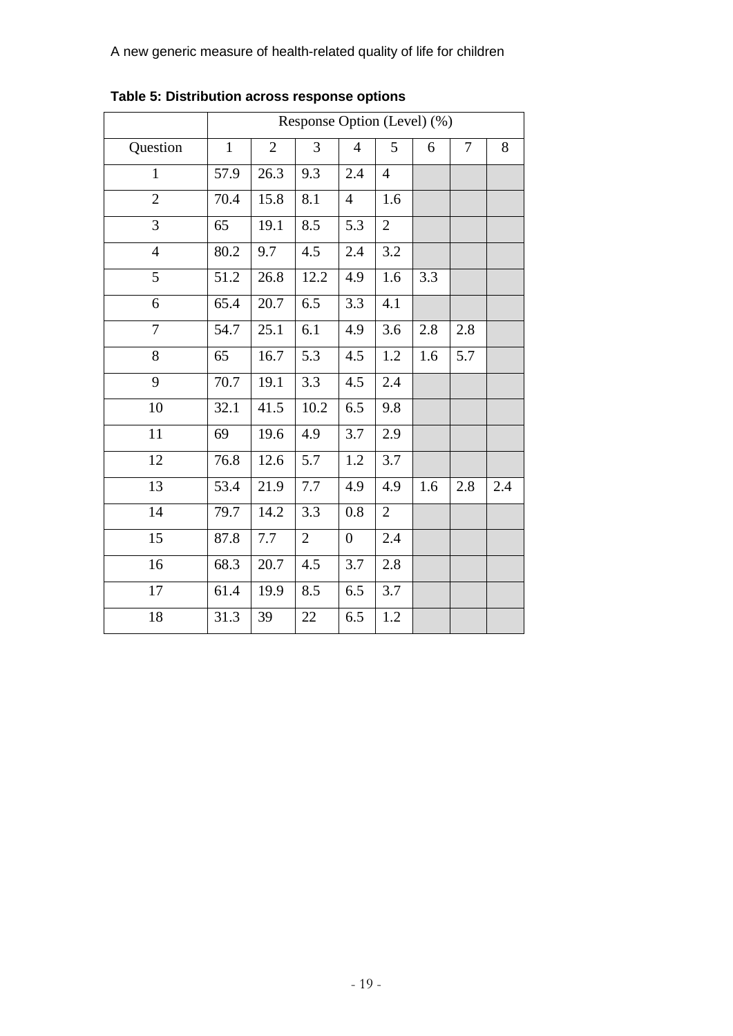|                | Response Option (Level) (%) |                |                |                |                |     |     |     |
|----------------|-----------------------------|----------------|----------------|----------------|----------------|-----|-----|-----|
| Question       | $\mathbf{1}$                | $\overline{2}$ | 3              | $\overline{4}$ | 5              | 6   | 7   | 8   |
| $\mathbf{1}$   | 57.9                        | 26.3           | 9.3            | 2.4            | $\overline{4}$ |     |     |     |
| $\overline{2}$ | 70.4                        | 15.8           | 8.1            | $\overline{4}$ | 1.6            |     |     |     |
| $\overline{3}$ | 65                          | 19.1           | 8.5            | 5.3            | $\overline{2}$ |     |     |     |
| $\overline{4}$ | 80.2                        | 9.7            | 4.5            | 2.4            | $3.2\,$        |     |     |     |
| 5              | 51.2                        | 26.8           | 12.2           | 4.9            | 1.6            | 3.3 |     |     |
| 6              | 65.4                        | 20.7           | 6.5            | 3.3            | 4.1            |     |     |     |
| 7              | 54.7                        | 25.1           | 6.1            | 4.9            | 3.6            | 2.8 | 2.8 |     |
| 8              | 65                          | 16.7           | 5.3            | 4.5            | 1.2            | 1.6 | 5.7 |     |
| 9              | 70.7                        | 19.1           | 3.3            | 4.5            | 2.4            |     |     |     |
| 10             | 32.1                        | 41.5           | 10.2           | 6.5            | 9.8            |     |     |     |
| 11             | 69                          | 19.6           | 4.9            | 3.7            | 2.9            |     |     |     |
| 12             | 76.8                        | 12.6           | 5.7            | 1.2            | 3.7            |     |     |     |
| 13             | 53.4                        | 21.9           | 7.7            | 4.9            | 4.9            | 1.6 | 2.8 | 2.4 |
| 14             | 79.7                        | 14.2           | 3.3            | 0.8            | $\overline{2}$ |     |     |     |
| 15             | 87.8                        | 7.7            | $\overline{2}$ | $\overline{0}$ | 2.4            |     |     |     |
| 16             | 68.3                        | 20.7           | 4.5            | 3.7            | 2.8            |     |     |     |
| 17             | 61.4                        | 19.9           | 8.5            | 6.5            | 3.7            |     |     |     |
| 18             | 31.3                        | 39             | 22             | 6.5            | 1.2            |     |     |     |

**Table 5: Distribution across response options**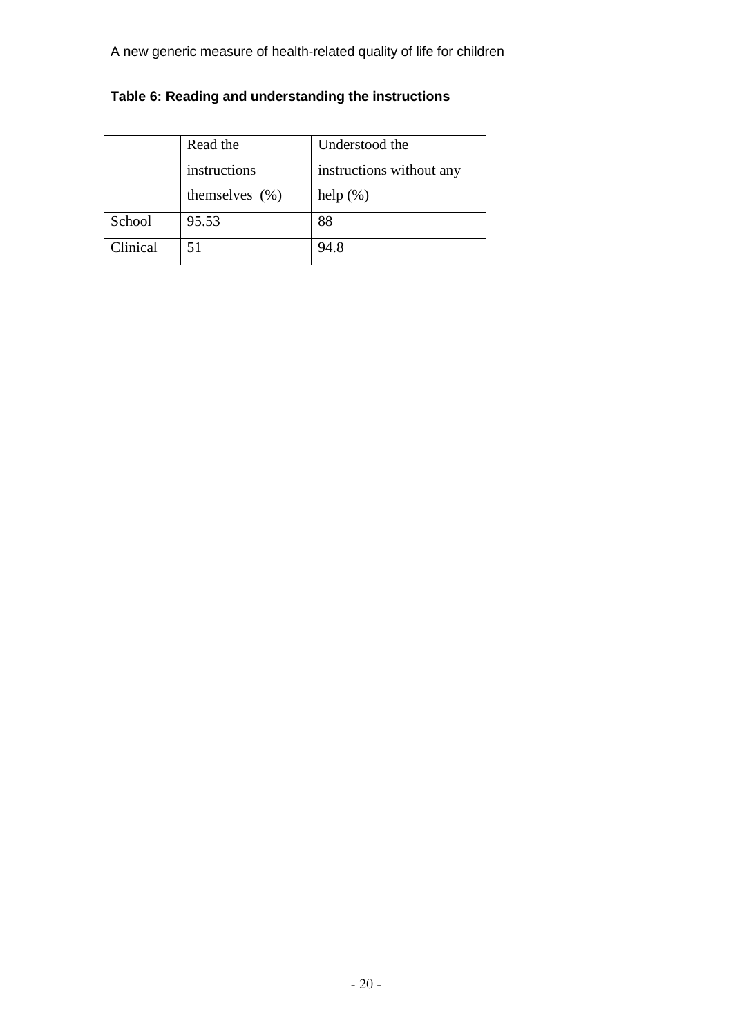|          | Read the           | Understood the           |
|----------|--------------------|--------------------------|
|          | instructions       | instructions without any |
|          | themselves $(\% )$ | help $(\%)$              |
| School   | 95.53              | 88                       |
| Clinical | 51                 | 94.8                     |

# **Table 6: Reading and understanding the instructions**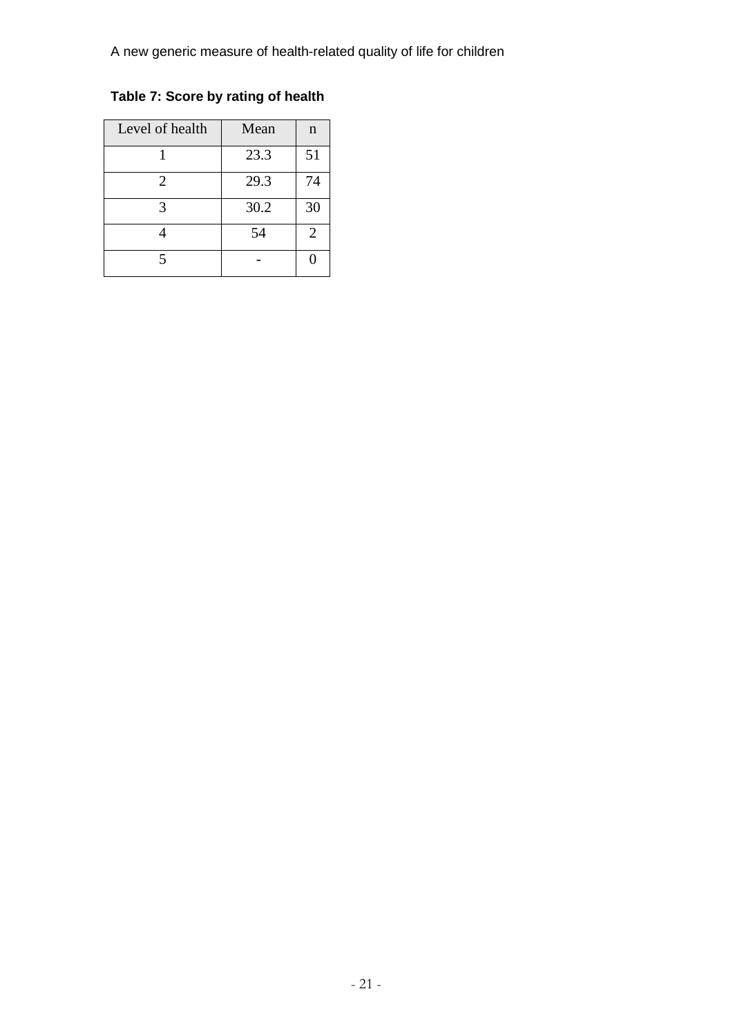**Table 7: Score by rating of health**

| Level of health       | Mean | $\mathbf n$    |
|-----------------------|------|----------------|
|                       | 23.3 | 51             |
| $\mathcal{D}_{\cdot}$ | 29.3 | 74             |
|                       | 30.2 | 30             |
|                       | 54   | $\overline{2}$ |
|                       |      | O              |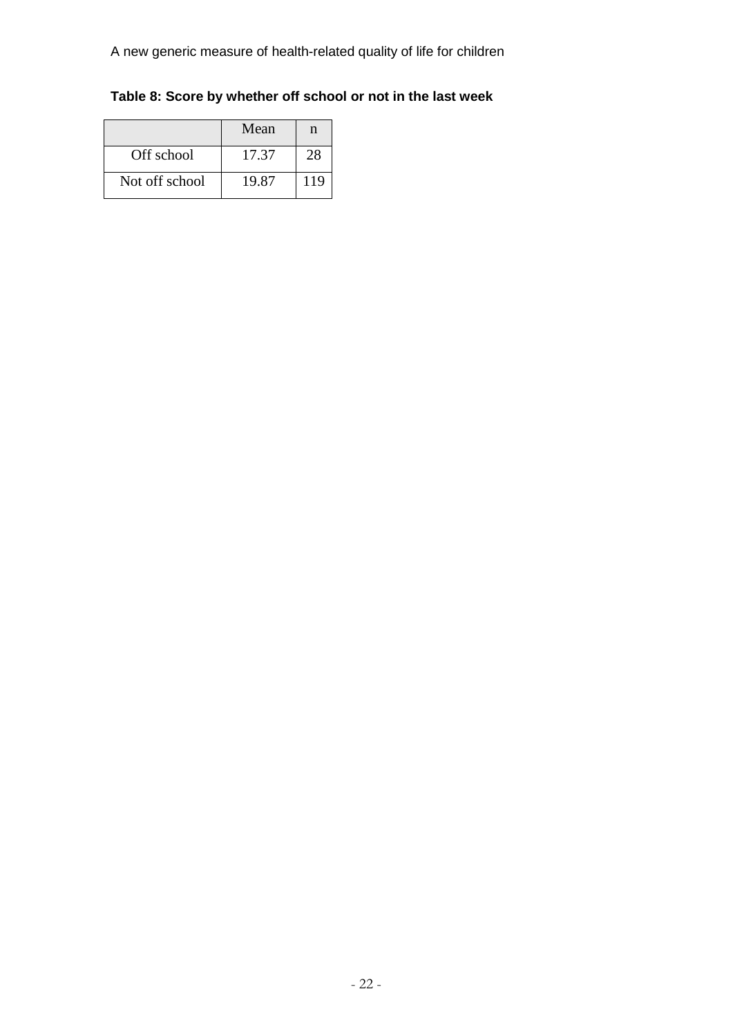**Table 8: Score by whether off school or not in the last week**

|                | Mean  | n   |
|----------------|-------|-----|
| Off school     | 17.37 | 28  |
| Not off school | 19.87 | 119 |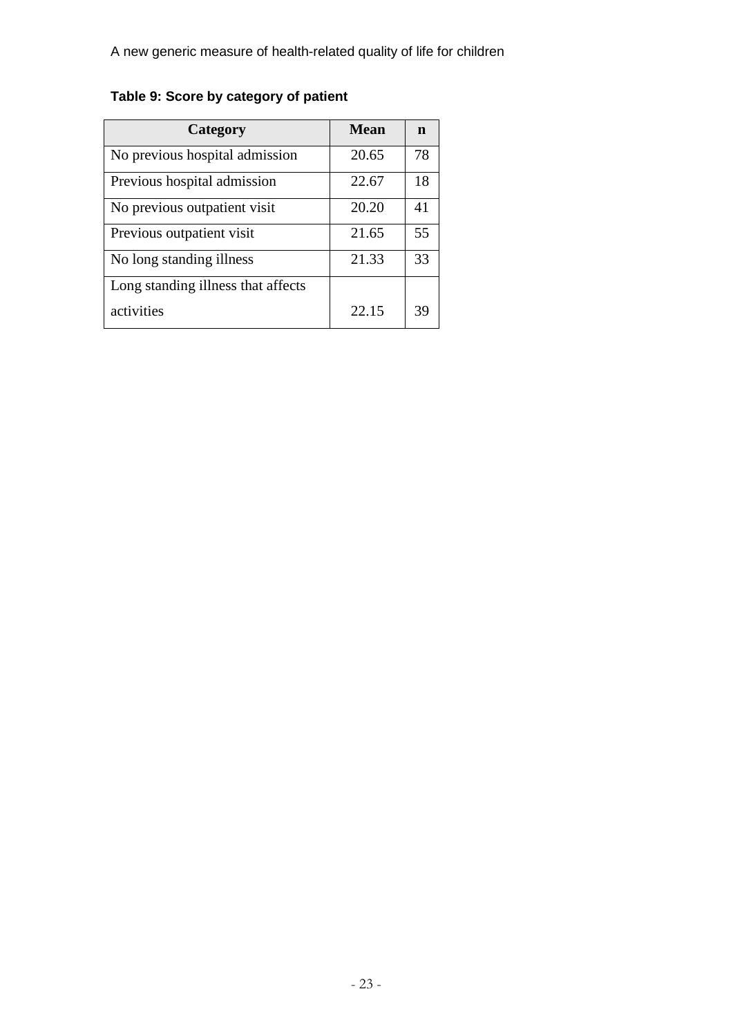# **Table 9: Score by category of patient**

| Category                           | <b>Mean</b> | n  |
|------------------------------------|-------------|----|
| No previous hospital admission     | 20.65       | 78 |
| Previous hospital admission        | 22.67       | 18 |
| No previous outpatient visit       | 20.20       | 41 |
| Previous outpatient visit          | 21.65       | 55 |
| No long standing illness           | 21.33       | 33 |
| Long standing illness that affects |             |    |
| activities                         | 22.15       | 39 |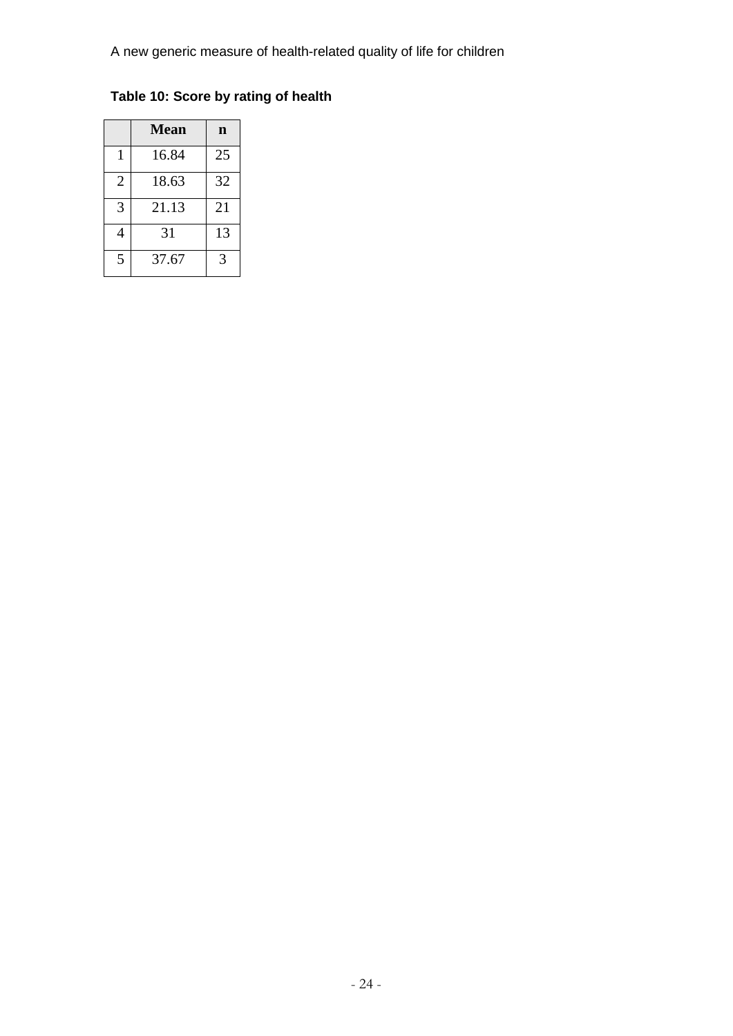**Table 10: Score by rating of health**

|                | <b>Mean</b> | n  |
|----------------|-------------|----|
|                | 16.84       | 25 |
| $\overline{2}$ | 18.63       | 32 |
| 3              | 21.13       | 21 |
| 4              | 31          | 13 |
| 5              | 37.67       | 3  |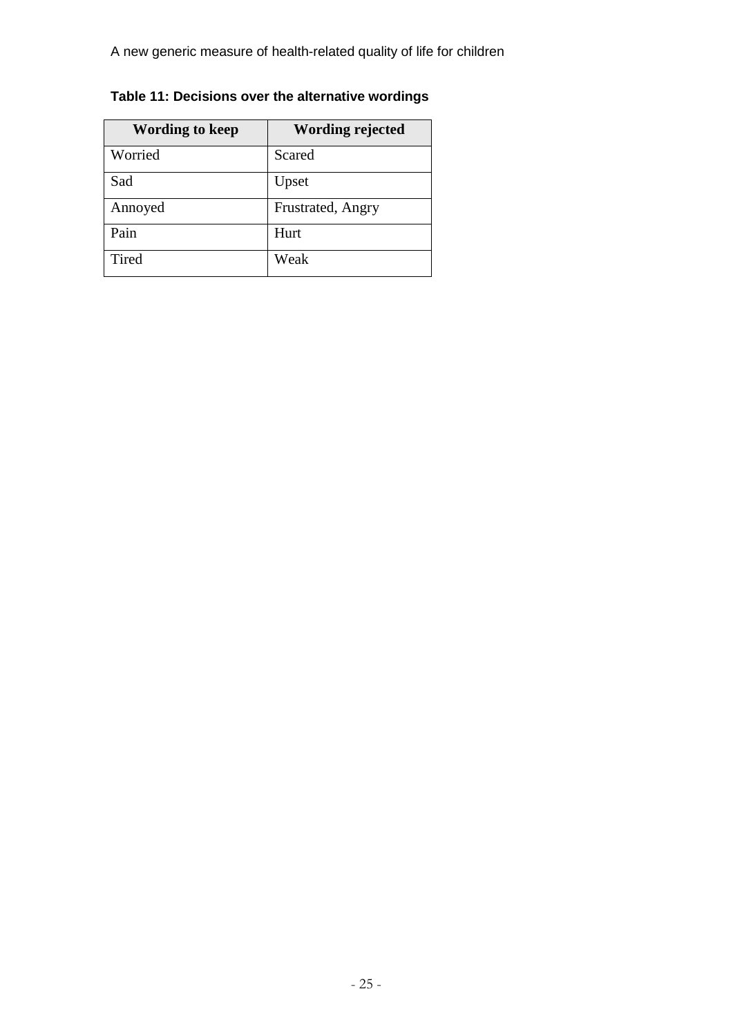**Table 11: Decisions over the alternative wordings**

| <b>Wording to keep</b> | <b>Wording rejected</b> |
|------------------------|-------------------------|
| Worried                | Scared                  |
| Sad                    | Upset                   |
| Annoyed                | Frustrated, Angry       |
| Pain                   | Hurt                    |
| Tired                  | Weak                    |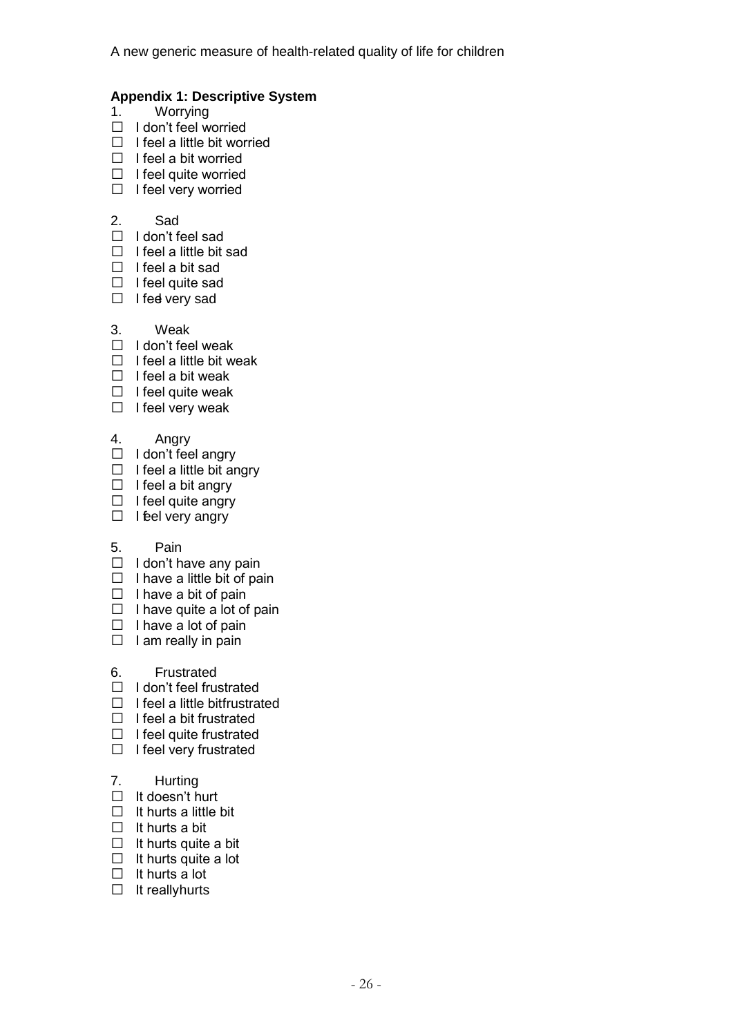#### **Appendix 1: Descriptive System**

- 1. Worrying
- $\Box$  I don't feel worried
- $\Box$  I feel a little bit worried
- $\Box$  I feel a bit worried
- $\Box$  I feel quite worried
- $\Box$  I feel very worried

#### 2. Sad

- $\Box$  I don't feel sad
- $\Box$  I feel a little bit sad
- $\Box$  I feel a bit sad
- $\Box$  I feel quite sad
- $\Box$  I feel very sad
- 3. Weak
- $\Box$  I don't feel weak
- $\Box$  I feel a little bit weak
- $\Box$  I feel a bit weak
- $\Box$  I feel quite weak
- $\Box$  I feel very weak

#### 4. Angry

- $\Box$  I don't feel angry
- $\Box$  I feel a little bit angry
- $\Box$  I feel a bit angry
- $\Box$  I feel quite angry
- $\Box$  I feel very angry

#### 5. Pain

- $\Box$  I don't have any pain
- $\Box$  I have a little bit of pain
- $\Box$  I have a bit of pain
- $\Box$  I have quite a lot of pain
- $\Box$  I have a lot of pain
- $\Box$  I am really in pain
- 6. Frustrated
- $\Box$  I don't feel frustrated
- $\Box$  I feel a little bitfrustrated
- $\Box$  I feel a bit frustrated
- $\Box$  I feel quite frustrated
- $\Box$  I feel very frustrated

#### 7. Hurting

- $\Box$  It doesn't hurt
- $\Box$  It hurts a little bit
- $\Box$  It hurts a bit
- $\Box$  It hurts quite a bit
- $\Box$  It hurts quite a lot
- $\Box$  It hurts a lot
- $\Box$  It really hurts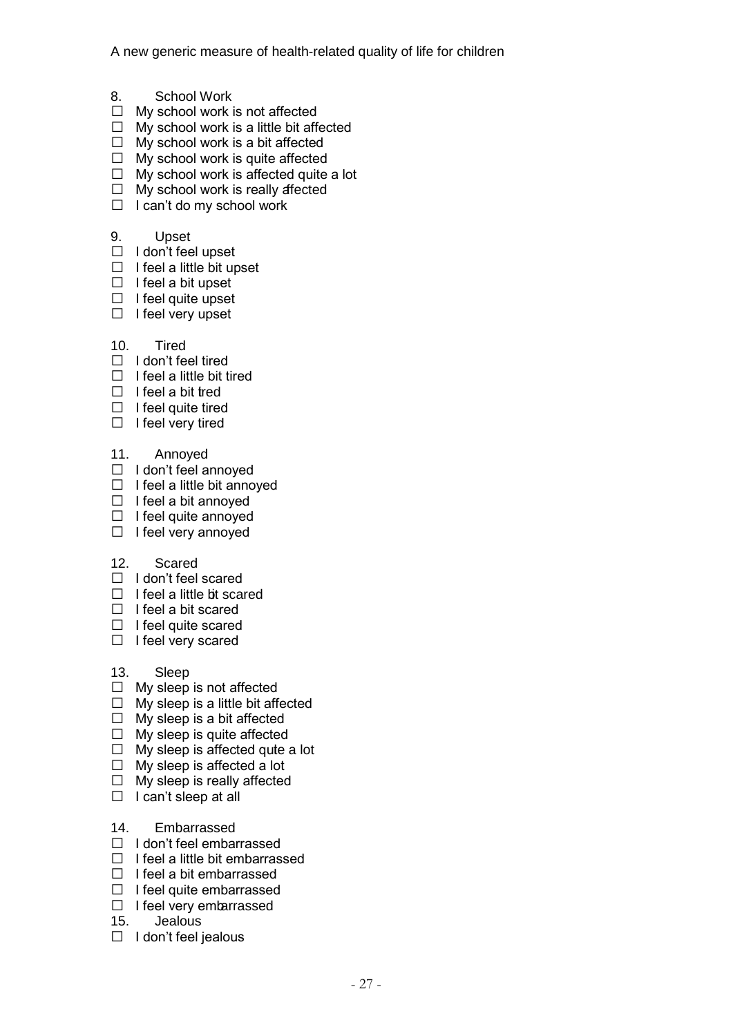- 8. School Work
- $\Box$  My school work is not affected
- $\Box$  My school work is a little bit affected
- $\Box$  My school work is a bit affected
- $\Box$  My school work is quite affected
- $\Box$  My school work is affected quite a lot
- $\Box$  My school work is really affected
- $\Box$  I can't do my school work
- 9. Upset
- $\Box$  I don't feel upset
- $\Box$  I feel a little bit upset
- $\Box$  I feel a bit upset
- $\Box$  I feel quite upset
- $\Box$  I feel very upset
- 10. Tired
- $\Box$  I don't feel tired
- $\Box$  I feel a little bit tired
- $\Box$  I feel a bit tred
- $\Box$  I feel quite tired
- $\Box$  I feel very tired
- 11. Annoyed
- $\Box$  I don't feel annoyed
- $\Box$  I feel a little bit annoyed
- $\Box$  I feel a bit annoved
- $\Box$  I feel quite annoyed
- $\Box$  I feel very annoyed
- 12. Scared
- $\Box$  I don't feel scared
- $\Box$  I feel a little bit scared
- $\Box$  I feel a bit scared
- $\Box$  I feel quite scared
- $\Box$  I feel very scared
- 13. Sleep
- $\Box$  My sleep is not affected
- $\Box$  My sleep is a little bit affected
- $\Box$  My sleep is a bit affected
- $\Box$  My sleep is quite affected
- $\Box$  My sleep is affected quite a lot
- $\Box$  My sleep is affected a lot
- $\Box$  My sleep is really affected
- $\Box$  I can't sleep at all
- 14. Embarrassed
- $\Box$  I don't feel embarrassed
- $\Box$  I feel a little bit embarrassed
- $\Box$  I feel a bit embarrassed
- $\Box$  I feel quite embarrassed
- $\Box$  I feel very embarrassed
- 15. Jealous
- $\Box$  I don't feel jealous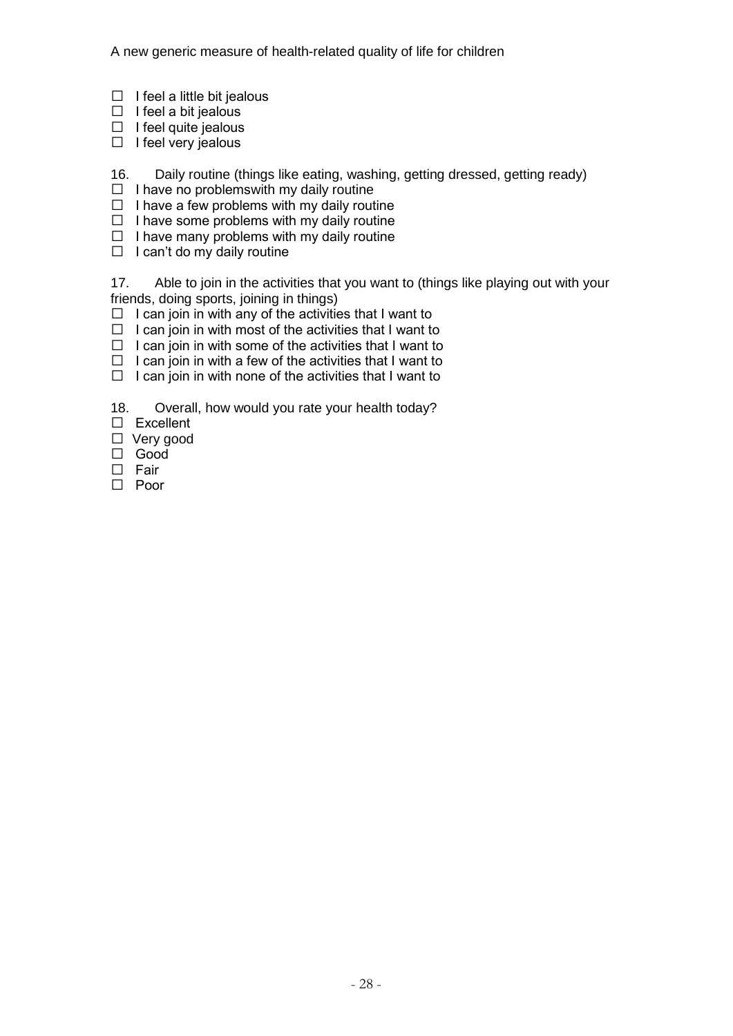- $\Box$  I feel a little bit jealous
- $\Box$  I feel a bit jealous
- $\Box$  I feel quite jealous
- $\Box$  I feel very jealous
- 16. Daily routine (things like eating, washing, getting dressed, getting ready)
- $\Box$  I have no problems with my daily routine
- $\Box$  I have a few problems with my daily routine
- $\Box$  I have some problems with my daily routine
- $\Box$  I have many problems with my daily routine
- $\Box$  I can't do my daily routine

17. Able to join in the activities that you want to (things like playing out with your friends, doing sports, joining in things)

- $\Box$  I can join in with any of the activities that I want to
- $\Box$  I can join in with most of the activities that I want to
- $\Box$  I can join in with some of the activities that I want to
- $\Box$  I can join in with a few of the activities that I want to
- $\Box$  I can join in with none of the activities that I want to
- 18. Overall, how would you rate your health today?
- Excellent
- □ Very good
- Good
- $\square$  Fair
- □ Poor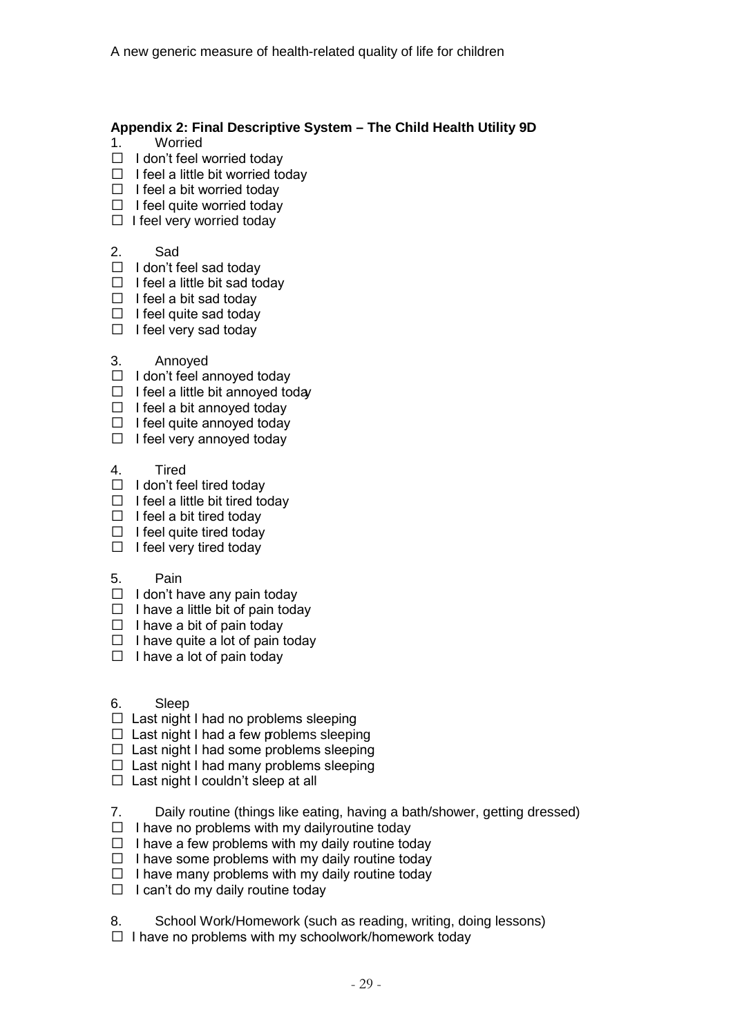#### **Appendix 2: Final Descriptive System – The Child Health Utility 9D**

- 1. Worried
- $\Box$  I don't feel worried today
- $\Box$  I feel a little bit worried today
- $\Box$  I feel a bit worried today
- $\Box$  I feel quite worried today
- $\Box$  I feel very worried today
- 2. Sad
- $\Box$  I don't feel sad today
- $\Box$  I feel a little bit sad todav
- $\Box$  I feel a bit sad today
- $\Box$  I feel quite sad today
- $\Box$  I feel very sad today
- 3. Annoyed
- $\Box$  I don't feel annoyed today
- $\Box$  I feel a little bit annoyed today
- $\Box$  I feel a bit annoyed today
- $\Box$  I feel quite annoyed today
- $\Box$  I feel very annoyed today
- 4. Tired
- $\Box$  I don't feel tired today
- $\Box$  I feel a little bit tired today
- $\Box$  I feel a bit tired today
- $\Box$  I feel quite tired today
- $\Box$  I feel very tired today

#### 5. Pain

- $\Box$  I don't have any pain today
- $\Box$  I have a little bit of pain today
- $\Box$  I have a bit of pain today
- $\Box$  I have quite a lot of pain today
- $\Box$  I have a lot of pain today
- 6. Sleep
- $\Box$  Last night I had no problems sleeping
- $\Box$  Last night I had a few problems sleeping
- $\Box$  Last night I had some problems sleeping
- $\Box$  Last night I had many problems sleeping
- $\Box$  Last night I couldn't sleep at all
- 7. Daily routine (things like eating, having a bath/shower, getting dressed)
- $\Box$  I have no problems with my daily routine today
- $\Box$  I have a few problems with my daily routine today
- $\Box$  I have some problems with my daily routine today
- $\Box$  I have many problems with my daily routine today
- $\Box$  I can't do my daily routine today
- 8. School Work/Homework (such as reading, writing, doing lessons)
- $\Box$  I have no problems with my schoolwork/homework today